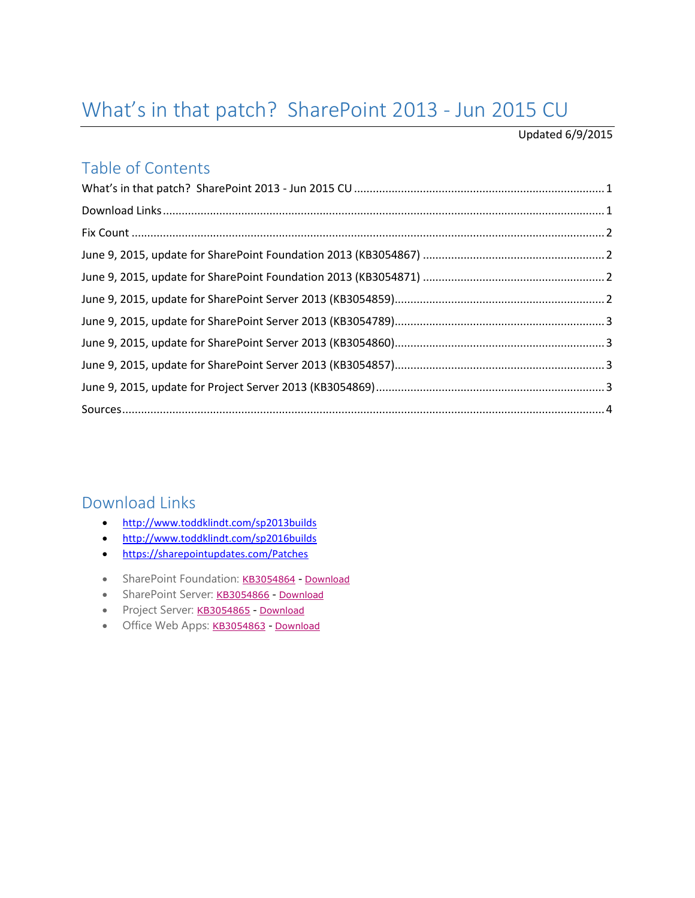# <span id="page-0-0"></span>What's in that patch? SharePoint 2013 - Jun 2015 CU

#### Updated 6/9/2015

#### Table of Contents

#### <span id="page-0-1"></span>Download Links

- <http://www.toddklindt.com/sp2013builds>
- <http://www.toddklindt.com/sp2016builds>
- <https://sharepointupdates.com/Patches>
- SharePoint Foundation: [KB3054864](http://support.microsoft.com/KB/3054864) [Download](http://www.microsoft.com/en-us/download/details.aspx?id=47537)
- SharePoint Server: [KB3054866](http://support.microsoft.com/KB/3054866) [Download](http://www.microsoft.com/en-us/download/details.aspx?id=47559)
- Project Server: [KB3054865](http://support.microsoft.com/KB/3054865) [Download](http://www.microsoft.com/en-us/download/details.aspx?id=47579)
- <span id="page-0-2"></span>• Office Web Apps: [KB3054863](http://support.microsoft.com/KB/3054863) - [Download](http://www.microsoft.com/en-us/download/details.aspx?id=47558)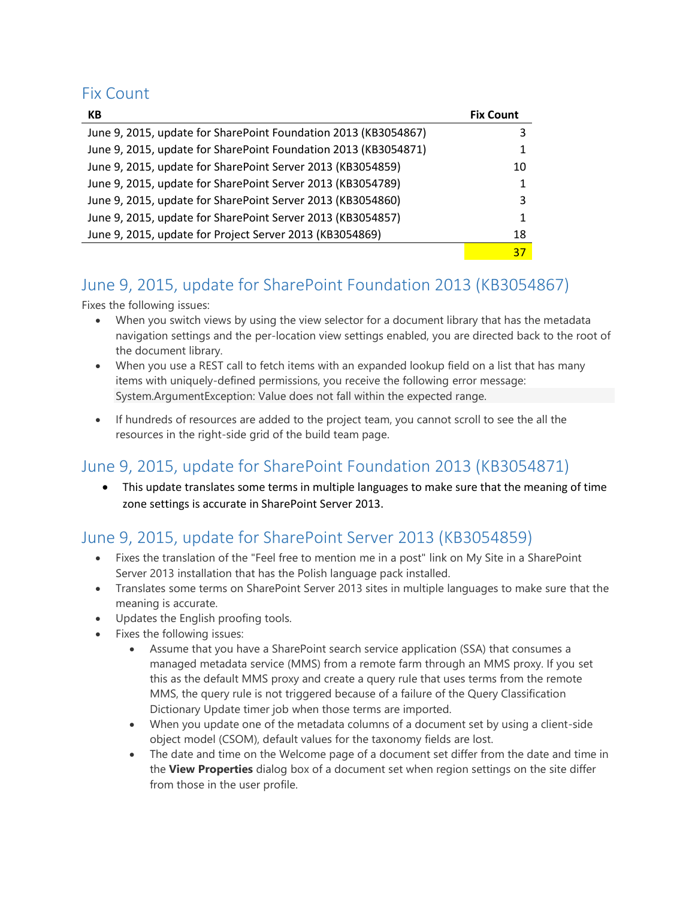#### Fix Count

| КB                                                              | <b>Fix Count</b> |
|-----------------------------------------------------------------|------------------|
| June 9, 2015, update for SharePoint Foundation 2013 (KB3054867) | 3                |
| June 9, 2015, update for SharePoint Foundation 2013 (KB3054871) | 1                |
| June 9, 2015, update for SharePoint Server 2013 (KB3054859)     | 10               |
| June 9, 2015, update for SharePoint Server 2013 (KB3054789)     | 1                |
| June 9, 2015, update for SharePoint Server 2013 (KB3054860)     | 3                |
| June 9, 2015, update for SharePoint Server 2013 (KB3054857)     | 1                |
| June 9, 2015, update for Project Server 2013 (KB3054869)        | 18               |
|                                                                 | 37               |

## <span id="page-1-0"></span>June 9, 2015, update for SharePoint Foundation 2013 (KB3054867)

Fixes the following issues:

- When you switch views by using the view selector for a document library that has the metadata navigation settings and the per-location view settings enabled, you are directed back to the root of the document library.
- When you use a REST call to fetch items with an expanded lookup field on a list that has many items with uniquely-defined permissions, you receive the following error message: System.ArgumentException: Value does not fall within the expected range.
- If hundreds of resources are added to the project team, you cannot scroll to see the all the resources in the right-side grid of the build team page.

### <span id="page-1-1"></span>June 9, 2015, update for SharePoint Foundation 2013 (KB3054871)

 This update translates some terms in multiple languages to make sure that the meaning of time zone settings is accurate in SharePoint Server 2013.

# <span id="page-1-2"></span>June 9, 2015, update for SharePoint Server 2013 (KB3054859)

- Fixes the translation of the "Feel free to mention me in a post" link on My Site in a SharePoint Server 2013 installation that has the Polish language pack installed.
- Translates some terms on SharePoint Server 2013 sites in multiple languages to make sure that the meaning is accurate.
- Updates the English proofing tools.
- Fixes the following issues:
	- Assume that you have a SharePoint search service application (SSA) that consumes a managed metadata service (MMS) from a remote farm through an MMS proxy. If you set this as the default MMS proxy and create a query rule that uses terms from the remote MMS, the query rule is not triggered because of a failure of the Query Classification Dictionary Update timer job when those terms are imported.
	- When you update one of the metadata columns of a document set by using a client-side object model (CSOM), default values for the taxonomy fields are lost.
	- The date and time on the Welcome page of a document set differ from the date and time in the **View Properties** dialog box of a document set when region settings on the site differ from those in the user profile.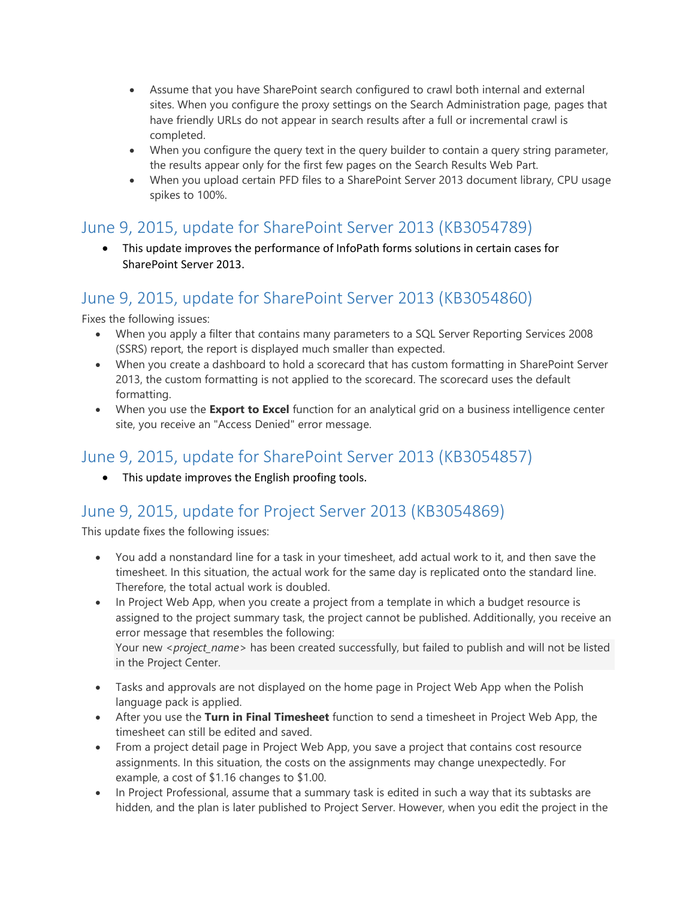- Assume that you have SharePoint search configured to crawl both internal and external sites. When you configure the proxy settings on the Search Administration page, pages that have friendly URLs do not appear in search results after a full or incremental crawl is completed.
- When you configure the query text in the query builder to contain a query string parameter, the results appear only for the first few pages on the Search Results Web Part.
- When you upload certain PFD files to a SharePoint Server 2013 document library, CPU usage spikes to 100%.

#### <span id="page-2-0"></span>June 9, 2015, update for SharePoint Server 2013 (KB3054789)

 This update improves the performance of InfoPath forms solutions in certain cases for SharePoint Server 2013.

### <span id="page-2-1"></span>June 9, 2015, update for SharePoint Server 2013 (KB3054860)

Fixes the following issues:

- When you apply a filter that contains many parameters to a SQL Server Reporting Services 2008 (SSRS) report, the report is displayed much smaller than expected.
- When you create a dashboard to hold a scorecard that has custom formatting in SharePoint Server 2013, the custom formatting is not applied to the scorecard. The scorecard uses the default formatting.
- When you use the **Export to Excel** function for an analytical grid on a business intelligence center site, you receive an "Access Denied" error message.

### <span id="page-2-2"></span>June 9, 2015, update for SharePoint Server 2013 (KB3054857)

• This update improves the English proofing tools.

### <span id="page-2-3"></span>June 9, 2015, update for Project Server 2013 (KB3054869)

This update fixes the following issues:

- You add a nonstandard line for a task in your timesheet, add actual work to it, and then save the timesheet. In this situation, the actual work for the same day is replicated onto the standard line. Therefore, the total actual work is doubled.
- In Project Web App, when you create a project from a template in which a budget resource is assigned to the project summary task, the project cannot be published. Additionally, you receive an error message that resembles the following: Your new *<project\_name>* has been created successfully, but failed to publish and will not be listed in the Project Center.
- Tasks and approvals are not displayed on the home page in Project Web App when the Polish language pack is applied.
- After you use the **Turn in Final Timesheet** function to send a timesheet in Project Web App, the timesheet can still be edited and saved.
- From a project detail page in Project Web App, you save a project that contains cost resource assignments. In this situation, the costs on the assignments may change unexpectedly. For example, a cost of \$1.16 changes to \$1.00.
- In Project Professional, assume that a summary task is edited in such a way that its subtasks are hidden, and the plan is later published to Project Server. However, when you edit the project in the